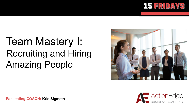

# Team Mastery I: Recruiting and Hiring Amazing People





**Facilitating COACH: Kris Sigmeth**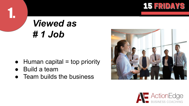

## *Viewed as # 1 Job*

- $\bullet$  Human capital = top priority
- **Build a team**

1.

• Team builds the business



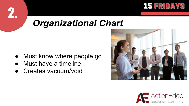

### *Organizational Chart*

- Must know where people go
- Must have a timeline

2.

**Creates vacuum/void** 



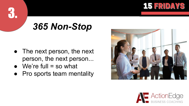

## *365 Non-Stop*

- The next person, the next person, the next person...
- $\bullet$  We're full = so what

3.

● Pro sports team mentality



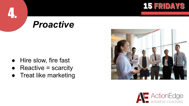

#### *Proactive*

● Hire slow, fire fast

- Reactive = scarcity
- Treat like marketing



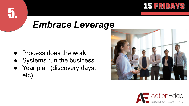

#### *Embrace Leverage*

**Process does the work** 

- Systems run the business
- Year plan (discovery days, etc)



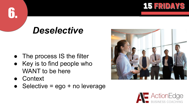

#### *Deselective*

- The process IS the filter
- Key is to find people who WANT to be here
- Context

6.

Selective =  $ego + no leverage$ 



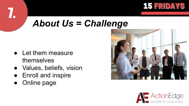

#### *About Us = Challenge*

- Let them measure themselves
- Values, beliefs, vision
- Enroll and inspire
- Online page



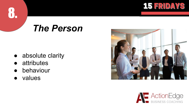

#### *The Person*

- absolute clarity
- attributes
- behaviour
- values



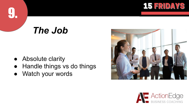

## *The Job*

● Absolute clarity

- Handle things vs do things
- Watch your words



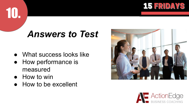

#### *Answers to Test*

- What success looks like
- How performance is measured
- How to win

10.

● How to be excellent



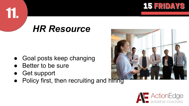

#### *HR Resource*

- Goal posts keep changing
- Better to be sure
- **Get support**

11.

Policy first, then recruiting and hiring



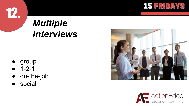

# *Multiple Interviews*

● group

- 1-2-1
- on-the-job
- social



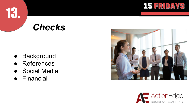

#### *Checks*

● Background

151

- References
- Social Media
- **Financial**



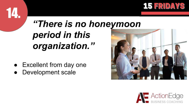

# *"There is no honeymoon period in this organization."*

- Excellent from day one
- Development scale



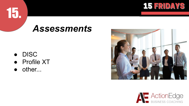

#### *Assessments*

● DISC

- Profile XT
- other...



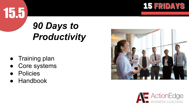

# *90 Days to Productivity*

- Training plan
- Core systems
- Policies

15.5

.

**Handbook**